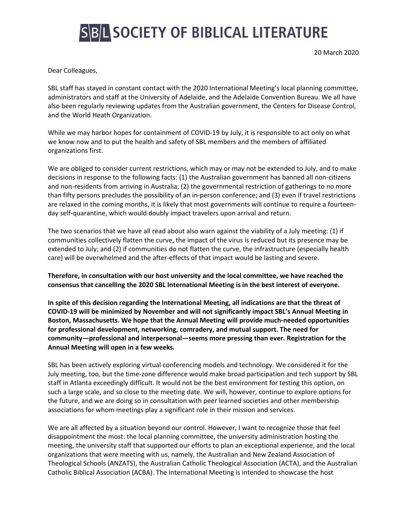## **SBL SOCIETY OF BIBLICAL LITERATURE**

20 March 2020

Dear Colleagues,

SBL staff has stayed in constant contact with the 2020 International Meeting's local planning committee, administrators and staff at the University of Adelaide, and the Adelaide Convention Bureau. We all have also been regularly reviewing updates from the Australian government, the Centers for Disease Control, and the World Heath Organization.

While we may harbor hopes for containment of COVID-19 by July, it is responsible to act only on what we know now and to put the health and safety of SBL members and the members of affiliated organizations first.

We are obliged to consider current restrictions, which may or may not be extended to July, and to make decisions in response to the following facts: (1) the Australian government has banned all non-citizens and non-residents from arriving in Australia; (2) the governmental restriction of gatherings to no more than fifty persons precludes the possibility of an in-person conference; and (3) even if travel restrictions are relaxed in the coming months, it is likely that most governments will continue to require a fourteenday self-quarantine, which would doubly impact travelers upon arrival and return.

The two scenarios that we have all read about also warn against the viability of a July meeting: (1) if communities collectively flatten the curve, the impact of the virus is reduced but its presence may be extended to July; and (2) if communities do not flatten the curve, the infrastructure (especially health care) will be overwhelmed and the after-effects of that impact would be lasting and severe.

**Therefore, in consultation with our host university and the local committee, we have reached the consensus that cancelling the 2020 SBL International Meeting is in the best interest of everyone.**

**In spite of this decision regarding the International Meeting, all indications are that the threat of COVID-19 will be minimized by November and will not significantly impact SBL's Annual Meeting in Boston, Massachusetts. We hope that the Annual Meeting will provide much-needed opportunities for professional development, networking, comradery, and mutual support. The need for community—professional and interpersonal—seems more pressing than ever. Registration for the Annual Meeting will open in a few weeks.**

SBL has been actively exploring virtual conferencing models and technology. We considered it for the July meeting, too, but the time-zone difference would make broad participation and tech support by SBL staff in Atlanta exceedingly difficult. It would not be the best environment for testing this option, on such a large scale, and so close to the meeting date. We will, however, continue to explore options for the future, and we are doing so in consultation with peer learned societies and other membership associations for whom meetings play a significant role in their mission and services.

We are all affected by a situation beyond our control. However, I want to recognize those that feel disappointment the most: the local planning committee, the university administration hosting the meeting, the university staff that supported our efforts to plan an exceptional experience, and the local organizations that were meeting with us, namely, the Australian and New Zealand Association of Theological Schools (ANZATS), the Australian Catholic Theological Association (ACTA), and the Australian Catholic Biblical Association (ACBA). The International Meeting is intended to showcase the host